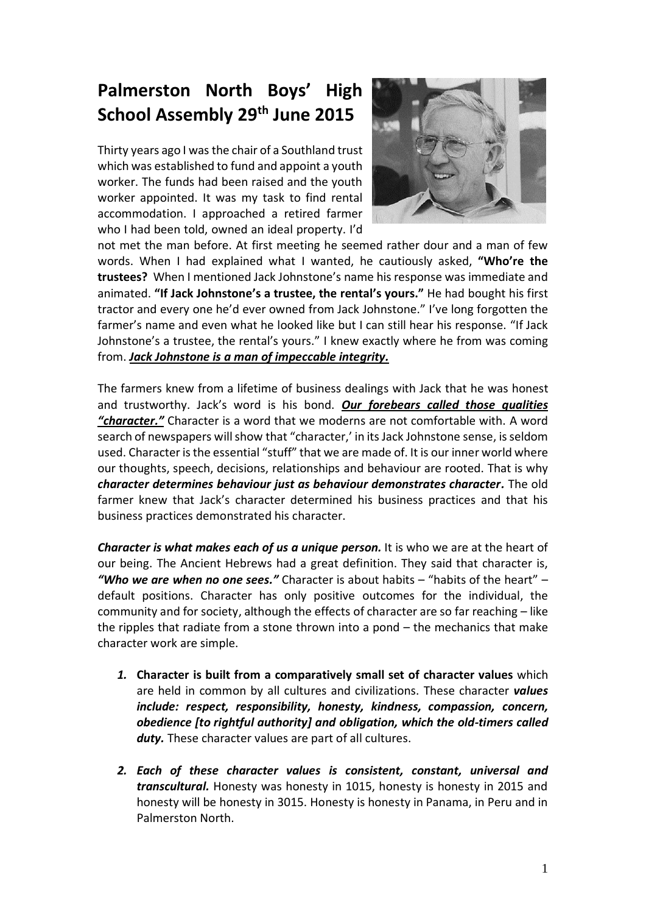## **Palmerston North Boys' High School Assembly 29th June 2015**

Thirty years ago I was the chair of a Southland trust which was established to fund and appoint a youth worker. The funds had been raised and the youth worker appointed. It was my task to find rental accommodation. I approached a retired farmer who I had been told, owned an ideal property. I'd



not met the man before. At first meeting he seemed rather dour and a man of few words. When I had explained what I wanted, he cautiously asked, **"Who're the trustees?** When I mentioned Jack Johnstone's name his response was immediate and animated. **"If Jack Johnstone's a trustee, the rental's yours."** He had bought his first tractor and every one he'd ever owned from Jack Johnstone." I've long forgotten the farmer's name and even what he looked like but I can still hear his response. "If Jack Johnstone's a trustee, the rental's yours." I knew exactly where he from was coming from. *Jack Johnstone is a man of impeccable integrity.* 

The farmers knew from a lifetime of business dealings with Jack that he was honest and trustworthy. Jack's word is his bond. *Our forebears called those qualities "character."* Character is a word that we moderns are not comfortable with. A word search of newspapers will show that "character,' in its Jack Johnstone sense, is seldom used. Character is the essential "stuff" that we are made of. It is our inner world where our thoughts, speech, decisions, relationships and behaviour are rooted. That is why *character determines behaviour just as behaviour demonstrates character.* The old farmer knew that Jack's character determined his business practices and that his business practices demonstrated his character.

*Character is what makes each of us a unique person.* **It is who we are at the heart of** our being. The Ancient Hebrews had a great definition. They said that character is, *"Who we are when no one sees."* Character is about habits – "habits of the heart" – default positions. Character has only positive outcomes for the individual, the community and for society, although the effects of character are so far reaching – like the ripples that radiate from a stone thrown into a pond – the mechanics that make character work are simple.

- *1.* **Character is built from a comparatively small set of character values** which are held in common by all cultures and civilizations. These character *values include: respect, responsibility, honesty, kindness, compassion, concern, obedience [to rightful authority] and obligation, which the old-timers called duty.* These character values are part of all cultures.
- *2. Each of these character values is consistent, constant, universal and transcultural.* Honesty was honesty in 1015, honesty is honesty in 2015 and honesty will be honesty in 3015. Honesty is honesty in Panama, in Peru and in Palmerston North.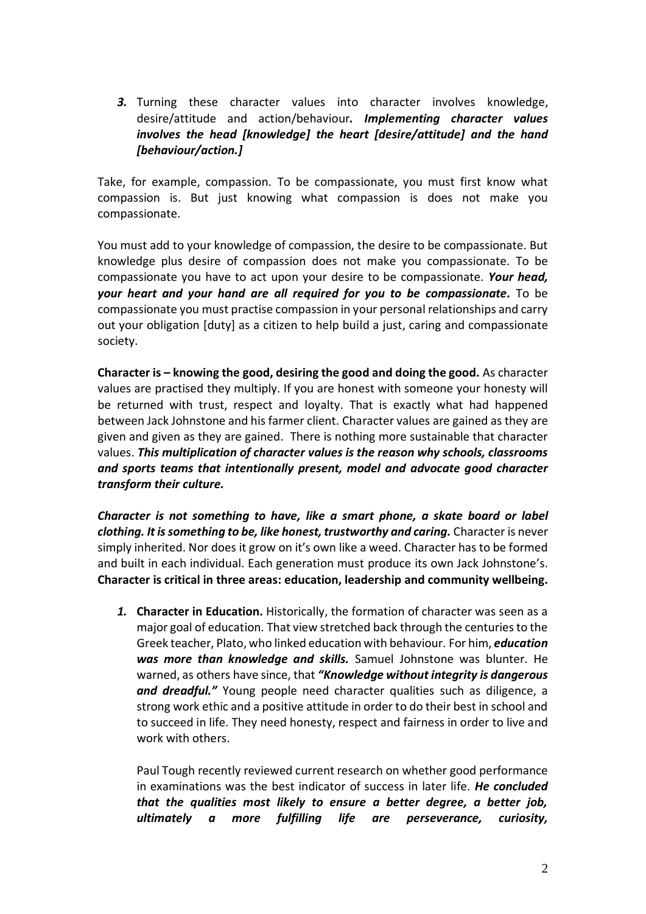*3.* Turning these character values into character involves knowledge, desire/attitude and action/behaviour*. Implementing character values involves the head [knowledge] the heart [desire/attitude] and the hand [behaviour/action.]* 

Take, for example, compassion. To be compassionate, you must first know what compassion is. But just knowing what compassion is does not make you compassionate.

You must add to your knowledge of compassion, the desire to be compassionate. But knowledge plus desire of compassion does not make you compassionate. To be compassionate you have to act upon your desire to be compassionate. *Your head, your heart and your hand are all required for you to be compassionate.* To be compassionate you must practise compassion in your personal relationships and carry out your obligation [duty] as a citizen to help build a just, caring and compassionate society.

**Character is – knowing the good, desiring the good and doing the good.** As character values are practised they multiply. If you are honest with someone your honesty will be returned with trust, respect and loyalty. That is exactly what had happened between Jack Johnstone and his farmer client. Character values are gained as they are given and given as they are gained. There is nothing more sustainable that character values. *This multiplication of character values is the reason why schools, classrooms and sports teams that intentionally present, model and advocate good character transform their culture.*

*Character is not something to have, like a smart phone, a skate board or label clothing. It is something to be, like honest, trustworthy and caring.* Character is never simply inherited. Nor does it grow on it's own like a weed. Character has to be formed and built in each individual. Each generation must produce its own Jack Johnstone's. **Character is critical in three areas: education, leadership and community wellbeing.**

*1.* **Character in Education.** Historically, the formation of character was seen as a major goal of education. That view stretched back through the centuries to the Greek teacher, Plato, who linked education with behaviour. For him, *education was more than knowledge and skills.* Samuel Johnstone was blunter. He warned, as others have since, that *"Knowledge without integrity is dangerous and dreadful."* Young people need character qualities such as diligence, a strong work ethic and a positive attitude in order to do their best in school and to succeed in life. They need honesty, respect and fairness in order to live and work with others.

Paul Tough recently reviewed current research on whether good performance in examinations was the best indicator of success in later life. *He concluded that the qualities most likely to ensure a better degree, a better job, ultimately a more fulfilling life are perseverance, curiosity,*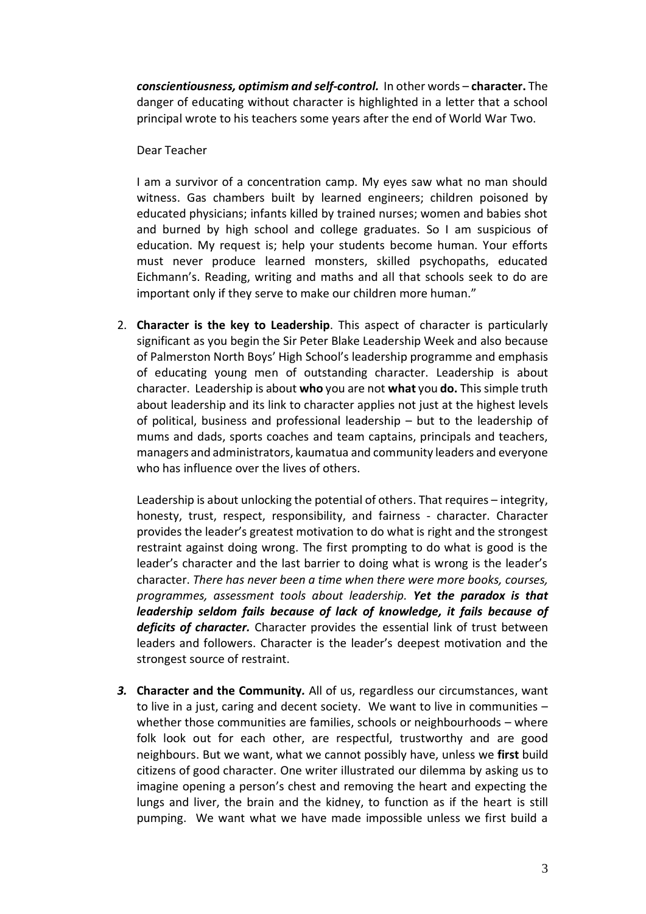*conscientiousness, optimism and self-control.* In other words – **character.** The danger of educating without character is highlighted in a letter that a school principal wrote to his teachers some years after the end of World War Two.

Dear Teacher

I am a survivor of a concentration camp. My eyes saw what no man should witness. Gas chambers built by learned engineers; children poisoned by educated physicians; infants killed by trained nurses; women and babies shot and burned by high school and college graduates. So I am suspicious of education. My request is; help your students become human. Your efforts must never produce learned monsters, skilled psychopaths, educated Eichmann's. Reading, writing and maths and all that schools seek to do are important only if they serve to make our children more human."

2. **Character is the key to Leadership**. This aspect of character is particularly significant as you begin the Sir Peter Blake Leadership Week and also because of Palmerston North Boys' High School's leadership programme and emphasis of educating young men of outstanding character. Leadership is about character. Leadership is about **who** you are not **what** you **do.** This simple truth about leadership and its link to character applies not just at the highest levels of political, business and professional leadership – but to the leadership of mums and dads, sports coaches and team captains, principals and teachers, managers and administrators, kaumatua and community leaders and everyone who has influence over the lives of others.

Leadership is about unlocking the potential of others. That requires – integrity, honesty, trust, respect, responsibility, and fairness - character. Character provides the leader's greatest motivation to do what is right and the strongest restraint against doing wrong. The first prompting to do what is good is the leader's character and the last barrier to doing what is wrong is the leader's character. *There has never been a time when there were more books, courses, programmes, assessment tools about leadership. Yet the paradox is that leadership seldom fails because of lack of knowledge, it fails because of deficits of character.* Character provides the essential link of trust between leaders and followers. Character is the leader's deepest motivation and the strongest source of restraint.

*3.* **Character and the Community***.* All of us, regardless our circumstances, want to live in a just, caring and decent society. We want to live in communities – whether those communities are families, schools or neighbourhoods – where folk look out for each other, are respectful, trustworthy and are good neighbours. But we want, what we cannot possibly have, unless we **first** build citizens of good character. One writer illustrated our dilemma by asking us to imagine opening a person's chest and removing the heart and expecting the lungs and liver, the brain and the kidney, to function as if the heart is still pumping. We want what we have made impossible unless we first build a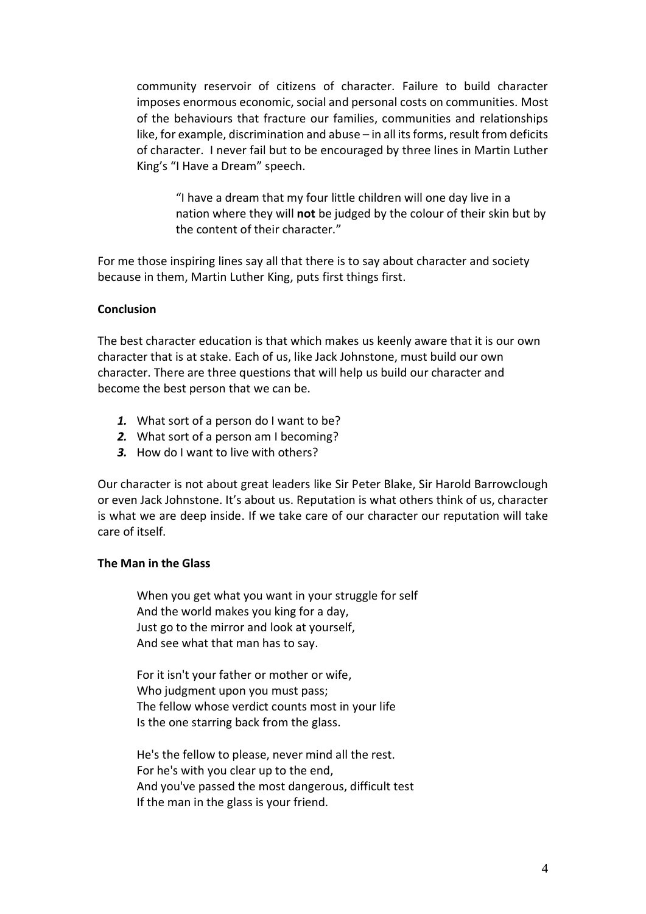community reservoir of citizens of character. Failure to build character imposes enormous economic, social and personal costs on communities. Most of the behaviours that fracture our families, communities and relationships like, for example, discrimination and abuse – in all its forms, result from deficits of character. I never fail but to be encouraged by three lines in Martin Luther King's "I Have a Dream" speech.

"I have a dream that my four little children will one day live in a nation where they will **not** be judged by the colour of their skin but by the content of their character."

For me those inspiring lines say all that there is to say about character and society because in them, Martin Luther King, puts first things first.

## **Conclusion**

The best character education is that which makes us keenly aware that it is our own character that is at stake. Each of us, like Jack Johnstone, must build our own character. There are three questions that will help us build our character and become the best person that we can be.

- *1.* What sort of a person do I want to be?
- *2.* What sort of a person am I becoming?
- *3.* How do I want to live with others?

Our character is not about great leaders like Sir Peter Blake, Sir Harold Barrowclough or even Jack Johnstone. It's about us. Reputation is what others think of us, character is what we are deep inside. If we take care of our character our reputation will take care of itself.

## **The Man in the Glass**

When you get what you want in your struggle for self And the world makes you king for a day, Just go to the mirror and look at yourself, And see what that man has to say.

For it isn't your father or mother or wife, Who judgment upon you must pass; The fellow whose verdict counts most in your life Is the one starring back from the glass.

He's the fellow to please, never mind all the rest. For he's with you clear up to the end, And you've passed the most dangerous, difficult test If the man in the glass is your friend.